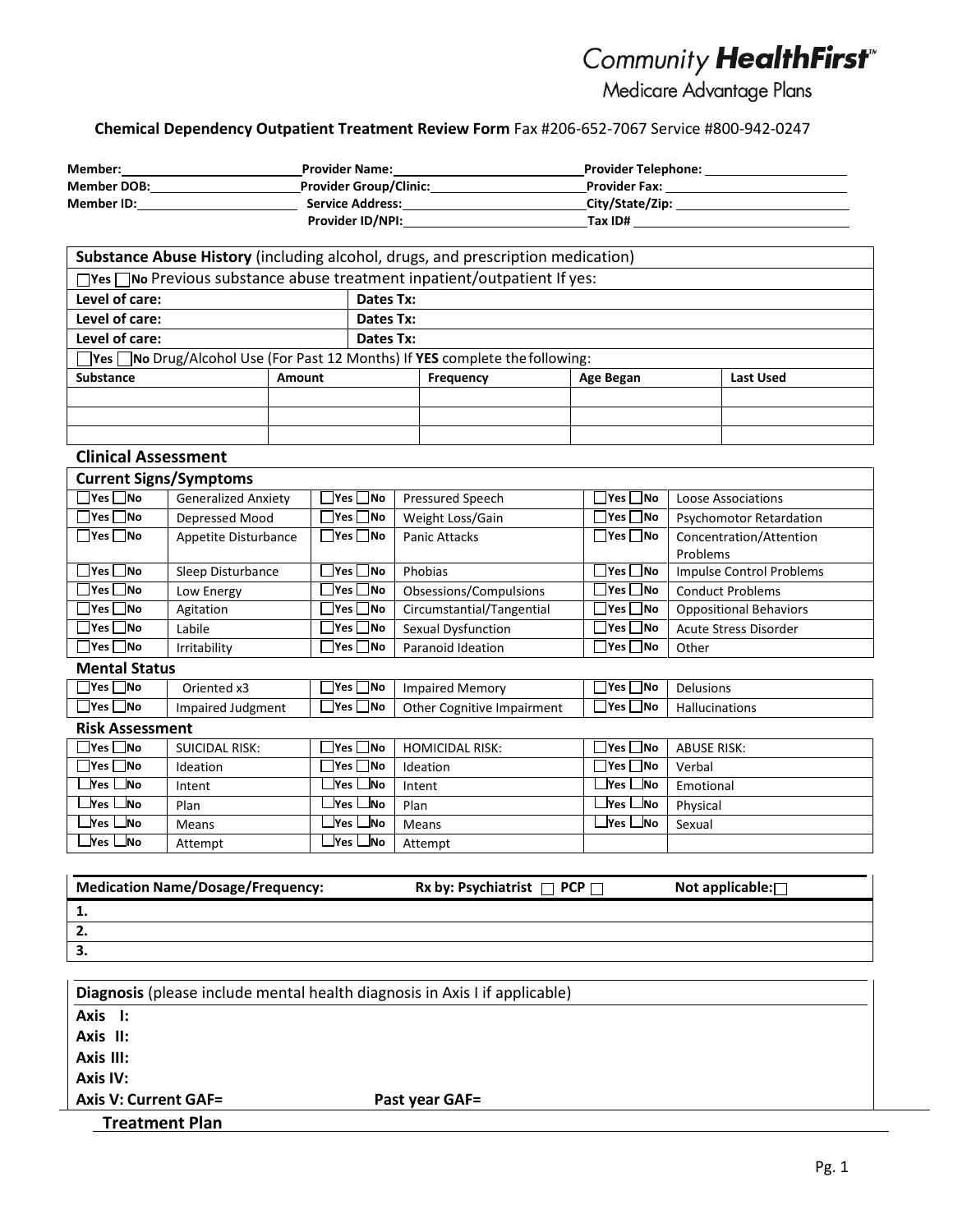# Community HealthFirst

Medicare Advantage Plans

# **Chemical Dependency Outpatient Treatment Review Form** Fax #206‐652‐7067 Service #800‐942‐0247

| Member:            | <b>Provider Name:</b>         | <b>Provider Telephone:</b> |  |
|--------------------|-------------------------------|----------------------------|--|
| <b>Member DOB:</b> | <b>Provider Group/Clinic:</b> | <b>Provider Fax:</b>       |  |
| Member ID:         | <b>Service Address:</b>       | City/State/Zip:            |  |
|                    | <b>Provider ID/NPI:</b>       | Tax ID#                    |  |

| Substance Abuse History (including alcohol, drugs, and prescription medication)      |                                                                               |           |           |           |  |           |
|--------------------------------------------------------------------------------------|-------------------------------------------------------------------------------|-----------|-----------|-----------|--|-----------|
| $\Box$ Yes $\Box$ No Previous substance abuse treatment inpatient/outpatient If yes: |                                                                               |           |           |           |  |           |
| Level of care:<br>Dates Tx:                                                          |                                                                               |           |           |           |  |           |
| Level of care:                                                                       | Dates Tx:                                                                     |           |           |           |  |           |
| Level of care:                                                                       |                                                                               | Dates Tx: |           |           |  |           |
|                                                                                      | □Yes □No Drug/Alcohol Use (For Past 12 Months) If YES complete the following: |           |           |           |  |           |
| <b>Substance</b>                                                                     | <b>Amount</b>                                                                 |           | Frequency | Age Began |  | Last Used |
|                                                                                      |                                                                               |           |           |           |  |           |
|                                                                                      |                                                                               |           |           |           |  |           |
|                                                                                      |                                                                               |           |           |           |  |           |

## **Clinical Assessment**

| <b>Current Signs/Symptoms</b>                      |                            |                           |                           |                            |                                 |
|----------------------------------------------------|----------------------------|---------------------------|---------------------------|----------------------------|---------------------------------|
| $\square$ Yes $\square$ No                         | <b>Generalized Anxiety</b> | $\Box$ Yes $\Box$ No      | Pressured Speech          | □Yes □No                   | Loose Associations              |
| $\Box$ Yes $\Box$ No                               | Depressed Mood             | $\Box$ Yes $\Box$ No      | Weight Loss/Gain          | $\Box$ Yes $\Box$ No       | <b>Psychomotor Retardation</b>  |
| $\Box$ Yes $\Box$ No                               | Appetite Disturbance       | $\Box$ Yes $\Box$ No      | <b>Panic Attacks</b>      | $\Box$ Yes $\Box$ No       | Concentration/Attention         |
|                                                    |                            |                           |                           |                            | Problems                        |
| $\Box$ Yes $\Box$ No                               | Sleep Disturbance          | $\mathsf{Yes} \square$ No | Phobias                   | $\Box$ Yes $\Box$ No       | <b>Impulse Control Problems</b> |
| $\boxed{\phantom{1}}$ Yes $\boxed{\phantom{1}}$ No | Low Energy                 | $\Box$ Yes $\Box$ No      | Obsessions/Compulsions    | $\square$ Yes $\square$ No | <b>Conduct Problems</b>         |
| $\Box$ Yes $\Box$ No                               | Agitation                  | $\Box$ Yes $\Box$ No      | Circumstantial/Tangential | $\Box$ Yes $\Box$ No       | <b>Oppositional Behaviors</b>   |
| $\Box$ Yes $\Box$ No                               | Labile                     | $\sqsupset$ Yes $\Box$ No | Sexual Dysfunction        | □Yes □No                   | <b>Acute Stress Disorder</b>    |
| □Yes □No                                           | Irritability               | ∃Yes □No                  | Paranoid Ideation         | □ Yes □ No                 | Other                           |
| <b>Mental Status</b>                               |                            |                           |                           |                            |                                 |

| Yes .<br><b>No</b> | Oriented x3       | —<br><b>Yes</b><br>lNo | Impaired Memory                      | __<br><b>INo</b><br>lYes. | Delusions             |
|--------------------|-------------------|------------------------|--------------------------------------|---------------------------|-----------------------|
| <b>Yes</b><br>_No  | Impaired Judgment | _<br>Ves<br><b>INo</b> | Other (<br>e Impairment<br>Cognitive | –<br><b>No</b><br>IYes    | <b>Hallucinations</b> |

## **Risk Assessment**

| $\Box$ Yes $\Box$ No | SUICIDAL RISK: | ⊤Yes ∏No                 | HOMICIDAL RISK: | $\Box$ Yes $\Box$ No     | ABUSE RISK: |
|----------------------|----------------|--------------------------|-----------------|--------------------------|-------------|
| $\Box$ Yes $\Box$ No | Ideation       | $\sqcap$ Yes $\sqcap$ No | Ideation        | $\sqcap$ Yes $\sqcap$ No | Verbal      |
| ⊥Yes ∟lNo            | Intent         | _lYes ∟lNo               | Intent          | ∟Yes ∟No                 | Emotional   |
| ⊥Yes ∟lNo            | Plan           | ⊥Yes ∟No                 | Plan            | ∟Yes ∟No                 | Physical    |
| ⊥Yes ∟lNo            | Means          | ⊥Yes ∟No                 | Means           | ⊥Yes ∟No                 | Sexual      |
| _lYes ∟lNo           | Attempt        | _lYes ∟lNo               | Attempt         |                          |             |

| <b>Medication Name/Dosage/Frequency:</b> | Rx by: Psychiatrist $\Box$ PCP $\Box$ | Not applicable: $\Box$ |
|------------------------------------------|---------------------------------------|------------------------|
| ι.                                       |                                       |                        |
| Ζ.                                       |                                       |                        |
| з.                                       |                                       |                        |

| Diagnosis (please include mental health diagnosis in Axis I if applicable) |                |  |  |
|----------------------------------------------------------------------------|----------------|--|--|
| Axis I:                                                                    |                |  |  |
| Axis II:                                                                   |                |  |  |
| Axis III:                                                                  |                |  |  |
| Axis IV:                                                                   |                |  |  |
| <b>Axis V: Current GAF=</b>                                                | Past year GAF= |  |  |
| <b>Treatment Plan</b>                                                      |                |  |  |